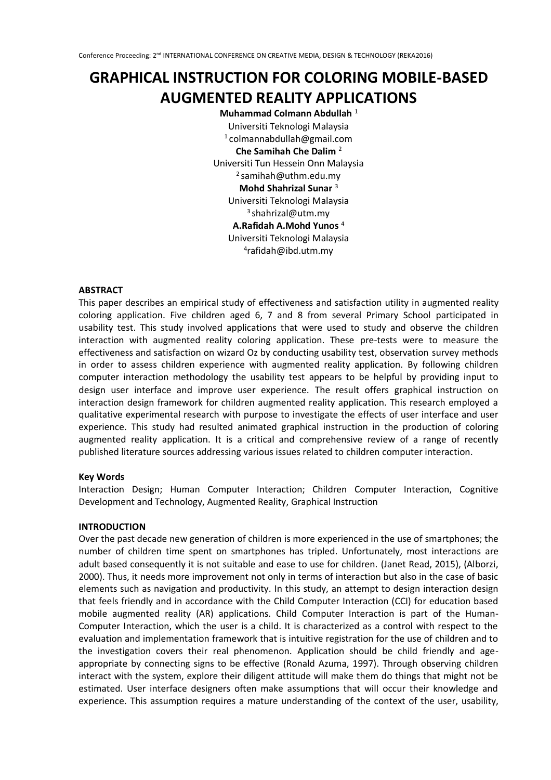# **GRAPHICAL INSTRUCTION FOR COLORING MOBILE-BASED AUGMENTED REALITY APPLICATIONS**

**Muhammad Colmann Abdullah** <sup>1</sup> Universiti Teknologi Malaysia 1 colmannabdullah@gmail.com **Che Samihah Che Dalim** <sup>2</sup> Universiti Tun Hessein Onn Malaysia 2 samihah@uthm.edu.my **Mohd Shahrizal Sunar** <sup>3</sup> Universiti Teknologi Malaysia <sup>3</sup> shahrizal@utm.my **A.Rafidah A.Mohd Yunos** <sup>4</sup> Universiti Teknologi Malaysia 4 rafidah@ibd.utm.my

## **ABSTRACT**

This paper describes an empirical study of effectiveness and satisfaction utility in augmented reality coloring application. Five children aged 6, 7 and 8 from several Primary School participated in usability test. This study involved applications that were used to study and observe the children interaction with augmented reality coloring application. These pre-tests were to measure the effectiveness and satisfaction on wizard Oz by conducting usability test, observation survey methods in order to assess children experience with augmented reality application. By following children computer interaction methodology the usability test appears to be helpful by providing input to design user interface and improve user experience. The result offers graphical instruction on interaction design framework for children augmented reality application. This research employed a qualitative experimental research with purpose to investigate the effects of user interface and user experience. This study had resulted animated graphical instruction in the production of coloring augmented reality application. It is a critical and comprehensive review of a range of recently published literature sources addressing various issues related to children computer interaction.

#### **Key Words**

Interaction Design; Human Computer Interaction; Children Computer Interaction, Cognitive Development and Technology, Augmented Reality, Graphical Instruction

#### **INTRODUCTION**

Over the past decade new generation of children is more experienced in the use of smartphones; the number of children time spent on smartphones has tripled. Unfortunately, most interactions are adult based consequently it is not suitable and ease to use for children. (Janet Read, 2015), (Alborzi, 2000). Thus, it needs more improvement not only in terms of interaction but also in the case of basic elements such as navigation and productivity. In this study, an attempt to design interaction design that feels friendly and in accordance with the Child Computer Interaction (CCI) for education based mobile augmented reality (AR) applications. Child Computer Interaction is part of the Human-Computer Interaction, which the user is a child. It is characterized as a control with respect to the evaluation and implementation framework that is intuitive registration for the use of children and to the investigation covers their real phenomenon. Application should be child friendly and ageappropriate by connecting signs to be effective (Ronald Azuma, 1997). Through observing children interact with the system, explore their diligent attitude will make them do things that might not be estimated. User interface designers often make assumptions that will occur their knowledge and experience. This assumption requires a mature understanding of the context of the user, usability,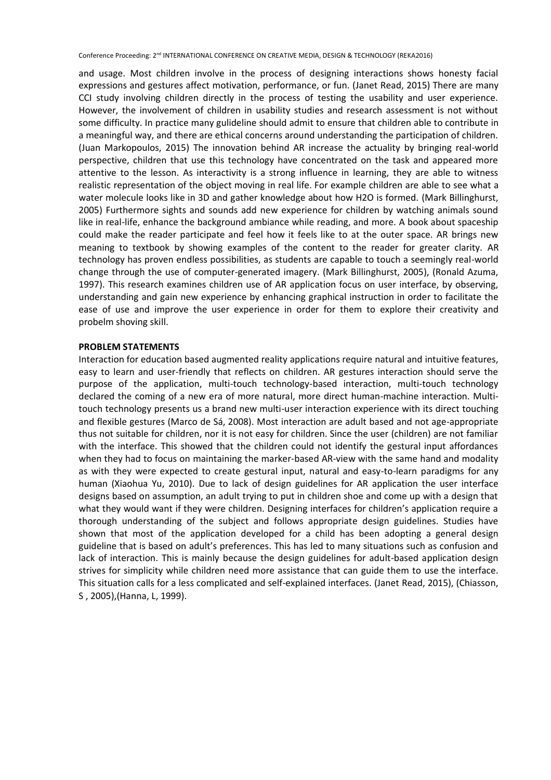and usage. Most children involve in the process of designing interactions shows honesty facial expressions and gestures affect motivation, performance, or fun. (Janet Read, 2015) There are many CCI study involving children directly in the process of testing the usability and user experience. However, the involvement of children in usability studies and research assessment is not without some difficulty. In practice many gulideline should admit to ensure that children able to contribute in a meaningful way, and there are ethical concerns around understanding the participation of children. (Juan Markopoulos, 2015) The innovation behind AR increase the actuality by bringing real-world perspective, children that use this technology have concentrated on the task and appeared more attentive to the lesson. As interactivity is a strong influence in learning, they are able to witness realistic representation of the object moving in real life. For example children are able to see what a water molecule looks like in 3D and gather knowledge about how H2O is formed. (Mark Billinghurst, 2005) Furthermore sights and sounds add new experience for children by watching animals sound like in real-life, enhance the background ambiance while reading, and more. A book about spaceship could make the reader participate and feel how it feels like to at the outer space. AR brings new meaning to textbook by showing examples of the content to the reader for greater clarity. AR technology has proven endless possibilities, as students are capable to touch a seemingly real-world change through the use of computer-generated imagery. (Mark Billinghurst, 2005), (Ronald Azuma, 1997). This research examines children use of AR application focus on user interface, by observing, understanding and gain new experience by enhancing graphical instruction in order to facilitate the ease of use and improve the user experience in order for them to explore their creativity and probelm shoving skill.

## **PROBLEM STATEMENTS**

Interaction for education based augmented reality applications require natural and intuitive features, easy to learn and user-friendly that reflects on children. AR gestures interaction should serve the purpose of the application, multi-touch technology-based interaction, multi-touch technology declared the coming of a new era of more natural, more direct human-machine interaction. Multitouch technology presents us a brand new multi-user interaction experience with its direct touching and flexible gestures (Marco de Sá, 2008). Most interaction are adult based and not age-appropriate thus not suitable for children, nor it is not easy for children. Since the user (children) are not familiar with the interface. This showed that the children could not identify the gestural input affordances when they had to focus on maintaining the marker-based AR-view with the same hand and modality as with they were expected to create gestural input, natural and easy-to-learn paradigms for any human (Xiaohua Yu, 2010). Due to lack of design guidelines for AR application the user interface designs based on assumption, an adult trying to put in children shoe and come up with a design that what they would want if they were children. Designing interfaces for children's application require a thorough understanding of the subject and follows appropriate design guidelines. Studies have shown that most of the application developed for a child has been adopting a general design guideline that is based on adult's preferences. This has led to many situations such as confusion and lack of interaction. This is mainly because the design guidelines for adult-based application design strives for simplicity while children need more assistance that can guide them to use the interface. This situation calls for a less complicated and self-explained interfaces. (Janet Read, 2015), (Chiasson, S , 2005),(Hanna, L, 1999).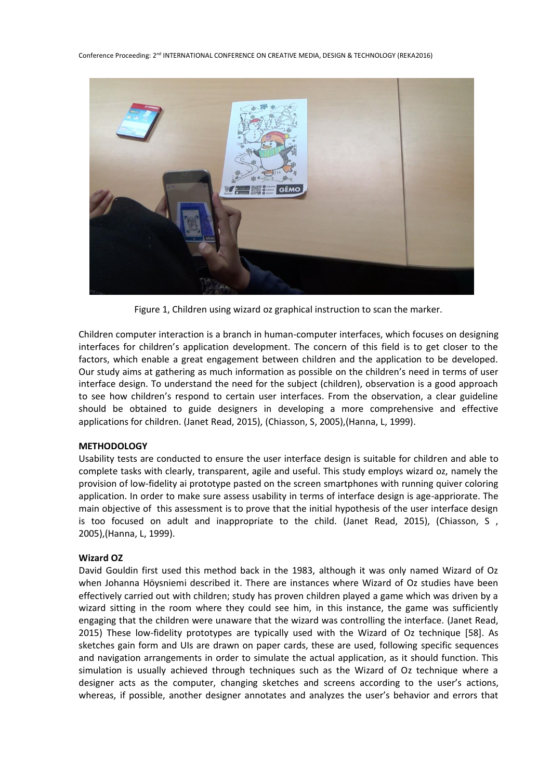

Figure 1, Children using wizard oz graphical instruction to scan the marker.

Children computer interaction is a branch in human-computer interfaces, which focuses on designing interfaces for children's application development. The concern of this field is to get closer to the factors, which enable a great engagement between children and the application to be developed. Our study aims at gathering as much information as possible on the children's need in terms of user interface design. To understand the need for the subject (children), observation is a good approach to see how children's respond to certain user interfaces. From the observation, a clear guideline should be obtained to guide designers in developing a more comprehensive and effective applications for children. (Janet Read, 2015), (Chiasson, S, 2005),(Hanna, L, 1999).

## **METHODOLOGY**

Usability tests are conducted to ensure the user interface design is suitable for children and able to complete tasks with clearly, transparent, agile and useful. This study employs wizard oz, namely the provision of low-fidelity ai prototype pasted on the screen smartphones with running quiver coloring application. In order to make sure assess usability in terms of interface design is age-appriorate. The main objective of this assessment is to prove that the initial hypothesis of the user interface design is too focused on adult and inappropriate to the child. (Janet Read, 2015), (Chiasson, S , 2005),(Hanna, L, 1999).

#### **Wizard OZ**

David Gouldin first used this method back in the 1983, although it was only named Wizard of Oz when Johanna Höysniemi described it. There are instances where Wizard of Oz studies have been effectively carried out with children; study has proven children played a game which was driven by a wizard sitting in the room where they could see him, in this instance, the game was sufficiently engaging that the children were unaware that the wizard was controlling the interface. (Janet Read, 2015) These low-fidelity prototypes are typically used with the Wizard of Oz technique [58]. As sketches gain form and UIs are drawn on paper cards, these are used, following specific sequences and navigation arrangements in order to simulate the actual application, as it should function. This simulation is usually achieved through techniques such as the Wizard of Oz technique where a designer acts as the computer, changing sketches and screens according to the user's actions, whereas, if possible, another designer annotates and analyzes the user's behavior and errors that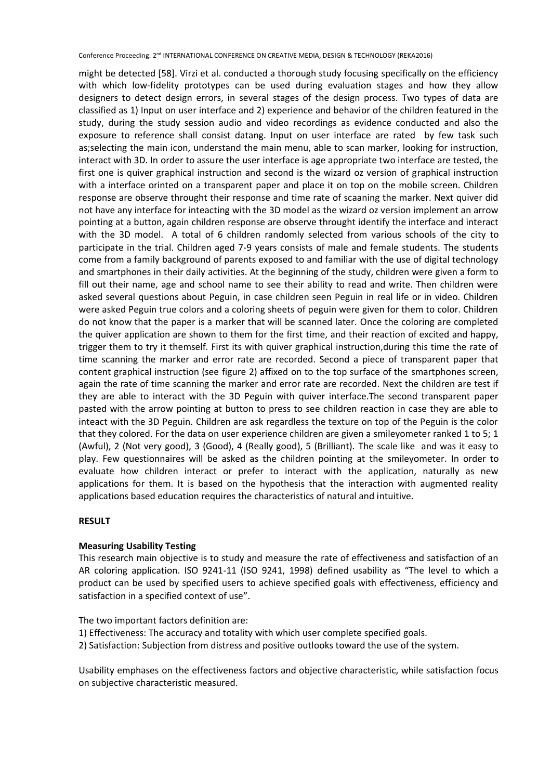might be detected [58]. Virzi et al. conducted a thorough study focusing specifically on the efficiency with which low-fidelity prototypes can be used during evaluation stages and how they allow designers to detect design errors, in several stages of the design process. Two types of data are classified as 1) Input on user interface and 2) experience and behavior of the children featured in the study, during the study session audio and video recordings as evidence conducted and also the exposure to reference shall consist datang. Input on user interface are rated by few task such as;selecting the main icon, understand the main menu, able to scan marker, looking for instruction, interact with 3D. In order to assure the user interface is age appropriate two interface are tested, the first one is quiver graphical instruction and second is the wizard oz version of graphical instruction with a interface orinted on a transparent paper and place it on top on the mobile screen. Children response are observe throught their response and time rate of scaaning the marker. Next quiver did not have any interface for inteacting with the 3D model as the wizard oz version implement an arrow pointing at a button, again children response are observe throught identify the interface and interact with the 3D model. A total of 6 children randomly selected from various schools of the city to participate in the trial. Children aged 7-9 years consists of male and female students. The students come from a family background of parents exposed to and familiar with the use of digital technology and smartphones in their daily activities. At the beginning of the study, children were given a form to fill out their name, age and school name to see their ability to read and write. Then children were asked several questions about Peguin, in case children seen Peguin in real life or in video. Children were asked Peguin true colors and a coloring sheets of peguin were given for them to color. Children do not know that the paper is a marker that will be scanned later. Once the coloring are completed the quiver application are shown to them for the first time, and their reaction of excited and happy, trigger them to try it themself. First its with quiver graphical instruction,during this time the rate of time scanning the marker and error rate are recorded. Second a piece of transparent paper that content graphical instruction (see figure 2) affixed on to the top surface of the smartphones screen, again the rate of time scanning the marker and error rate are recorded. Next the children are test if they are able to interact with the 3D Peguin with quiver interface.The second transparent paper pasted with the arrow pointing at button to press to see children reaction in case they are able to inteact with the 3D Peguin. Children are ask regardless the texture on top of the Peguin is the color that they colored. For the data on user experience children are given a smileyometer ranked 1 to 5; 1 (Awful), 2 (Not very good), 3 (Good), 4 (Really good), 5 (Brilliant). The scale like and was it easy to play. Few questionnaires will be asked as the children pointing at the smileyometer. In order to evaluate how children interact or prefer to interact with the application, naturally as new applications for them. It is based on the hypothesis that the interaction with augmented reality applications based education requires the characteristics of natural and intuitive.

## **RESULT**

## **Measuring Usability Testing**

This research main objective is to study and measure the rate of effectiveness and satisfaction of an AR coloring application. ISO 9241-11 (ISO 9241, 1998) defined usability as "The level to which a product can be used by specified users to achieve specified goals with effectiveness, efficiency and satisfaction in a specified context of use".

The two important factors definition are:

- 1) Effectiveness: The accuracy and totality with which user complete specified goals.
- 2) Satisfaction: Subjection from distress and positive outlooks toward the use of the system.

Usability emphases on the effectiveness factors and objective characteristic, while satisfaction focus on subjective characteristic measured.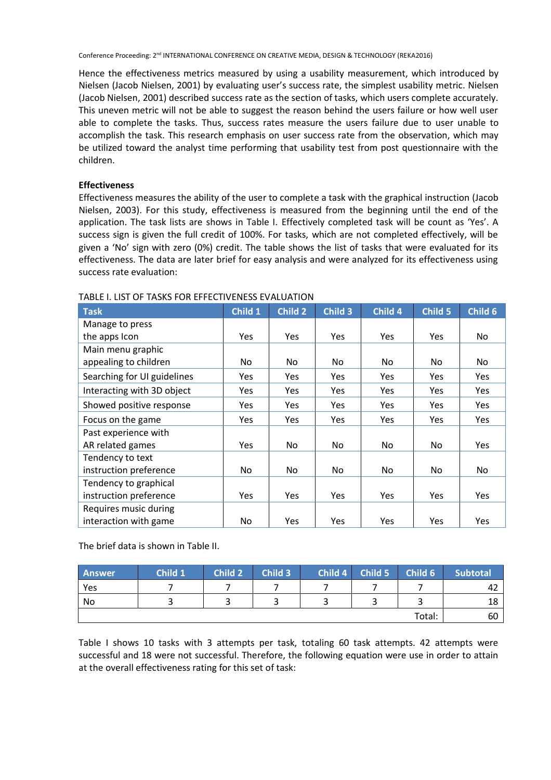Hence the effectiveness metrics measured by using a usability measurement, which introduced by Nielsen (Jacob Nielsen, 2001) by evaluating user's success rate, the simplest usability metric. Nielsen (Jacob Nielsen, 2001) described success rate as the section of tasks, which users complete accurately. This uneven metric will not be able to suggest the reason behind the users failure or how well user able to complete the tasks. Thus, success rates measure the users failure due to user unable to accomplish the task. This research emphasis on user success rate from the observation, which may be utilized toward the analyst time performing that usability test from post questionnaire with the children.

## **Effectiveness**

Effectiveness measures the ability of the user to complete a task with the graphical instruction (Jacob Nielsen, 2003). For this study, effectiveness is measured from the beginning until the end of the application. The task lists are shows in Table I. Effectively completed task will be count as 'Yes'. A success sign is given the full credit of 100%. For tasks, which are not completed effectively, will be given a 'No' sign with zero (0%) credit. The table shows the list of tasks that were evaluated for its effectiveness. The data are later brief for easy analysis and were analyzed for its effectiveness using success rate evaluation:

| <b>Task</b>                 | Child 1 | <b>Child 2</b> | Child 3    | Child 4    | Child 5    | Child 6    |
|-----------------------------|---------|----------------|------------|------------|------------|------------|
| Manage to press             |         |                |            |            |            |            |
| the apps Icon               | Yes.    | Yes            | <b>Yes</b> | <b>Yes</b> | <b>Yes</b> | No         |
| Main menu graphic           |         |                |            |            |            |            |
| appealing to children       | No.     | No.            | No.        | No.        | No         | No.        |
| Searching for UI guidelines | Yes.    | Yes            | Yes        | <b>Yes</b> | <b>Yes</b> | Yes        |
| Interacting with 3D object  | Yes     | Yes            | Yes        | Yes        | Yes        | Yes        |
| Showed positive response    | Yes     | <b>Yes</b>     | <b>Yes</b> | Yes        | Yes        | Yes        |
| Focus on the game           | Yes     | Yes            | Yes        | Yes        | <b>Yes</b> | Yes        |
| Past experience with        |         |                |            |            |            |            |
| AR related games            | Yes     | No.            | No.        | No.        | No         | <b>Yes</b> |
| Tendency to text            |         |                |            |            |            |            |
| instruction preference      | No.     | No.            | No.        | No         | No         | No         |
| Tendency to graphical       |         |                |            |            |            |            |
| instruction preference      | Yes.    | Yes            | Yes        | <b>Yes</b> | <b>Yes</b> | Yes        |
| Requires music during       |         |                |            |            |            |            |
| interaction with game       | No.     | Yes            | Yes        | Yes        | <b>Yes</b> | Yes        |

## TABLE I. LIST OF TASKS FOR EFFECTIVENESS EVALUATION

The brief data is shown in Table II.

| <b>Answer</b> | Child 1 | <b>Child 2</b> | Child 3 | Child 4 | Child 5 | Child 6 | <b>Subtotal</b> |
|---------------|---------|----------------|---------|---------|---------|---------|-----------------|
| Yes           |         |                |         |         |         |         | 42              |
| No            |         |                |         |         |         |         | 18              |
|               |         |                |         |         |         | Total:  | 60              |

Table I shows 10 tasks with 3 attempts per task, totaling 60 task attempts. 42 attempts were successful and 18 were not successful. Therefore, the following equation were use in order to attain at the overall effectiveness rating for this set of task: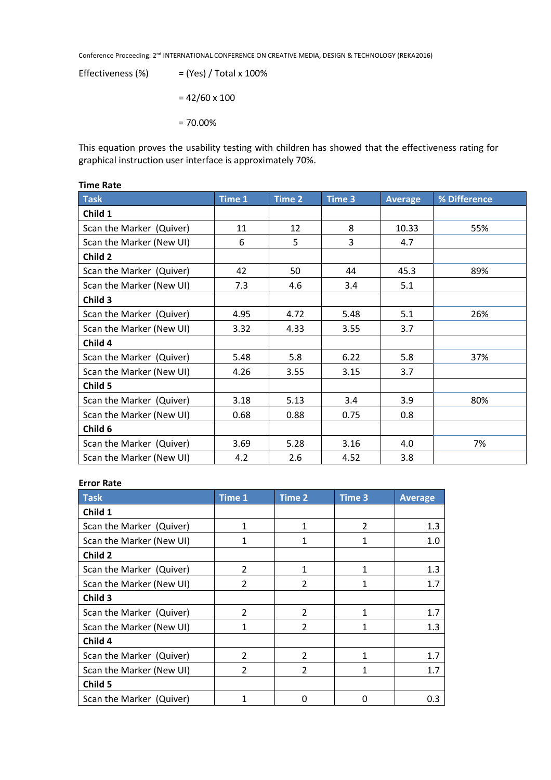Effectiveness  $(\%)$  =  $(Yes) / Total x 100\%$  $= 42/60 \times 100$ = 70.00%

This equation proves the usability testing with children has showed that the effectiveness rating for graphical instruction user interface is approximately 70%.

| <b>Task</b>              | Time 1 | Time 2 | Time 3 | <b>Average</b> | % Difference |
|--------------------------|--------|--------|--------|----------------|--------------|
| Child 1                  |        |        |        |                |              |
| Scan the Marker (Quiver) | 11     | 12     | 8      | 10.33          | 55%          |
| Scan the Marker (New UI) | 6      | 5      | 3      | 4.7            |              |
| Child 2                  |        |        |        |                |              |
| Scan the Marker (Quiver) | 42     | 50     | 44     | 45.3           | 89%          |
| Scan the Marker (New UI) | 7.3    | 4.6    | 3.4    | 5.1            |              |
| Child 3                  |        |        |        |                |              |
| Scan the Marker (Quiver) | 4.95   | 4.72   | 5.48   | 5.1            | 26%          |
| Scan the Marker (New UI) | 3.32   | 4.33   | 3.55   | 3.7            |              |
| Child 4                  |        |        |        |                |              |
| Scan the Marker (Quiver) | 5.48   | 5.8    | 6.22   | 5.8            | 37%          |
| Scan the Marker (New UI) | 4.26   | 3.55   | 3.15   | 3.7            |              |
| Child 5                  |        |        |        |                |              |
| Scan the Marker (Quiver) | 3.18   | 5.13   | 3.4    | 3.9            | 80%          |
| Scan the Marker (New UI) | 0.68   | 0.88   | 0.75   | 0.8            |              |
| Child 6                  |        |        |        |                |              |
| Scan the Marker (Quiver) | 3.69   | 5.28   | 3.16   | 4.0            | 7%           |
| Scan the Marker (New UI) | 4.2    | 2.6    | 4.52   | 3.8            |              |

## **Time Rate**

## **Error Rate**

| Task                     | Time 1                   | <b>Time 2</b>  | <b>Time 3</b>  | <b>Average</b> |
|--------------------------|--------------------------|----------------|----------------|----------------|
| Child 1                  |                          |                |                |                |
| Scan the Marker (Quiver) | 1                        | 1              | $\mathfrak{p}$ | 1.3            |
| Scan the Marker (New UI) | 1                        |                | 1              | 1.0            |
| Child 2                  |                          |                |                |                |
| Scan the Marker (Quiver) | $\overline{\phantom{a}}$ |                | 1              | 1.3            |
| Scan the Marker (New UI) | $\mathfrak{p}$           | $\mathfrak{p}$ |                | 1.7            |
| Child 3                  |                          |                |                |                |
| Scan the Marker (Quiver) | $\mathfrak{p}$           | $\mathfrak{p}$ |                | 1.7            |
| Scan the Marker (New UI) |                          | $\mathfrak{p}$ |                | 1.3            |
| Child 4                  |                          |                |                |                |
| Scan the Marker (Quiver) | $\mathfrak{p}$           | 2              | 1              | 1.7            |
| Scan the Marker (New UI) | $\mathfrak{p}$           | $\mathfrak{p}$ | 1              | 1.7            |
| Child 5                  |                          |                |                |                |
| Scan the Marker (Quiver) |                          | n              | O              | 0.3            |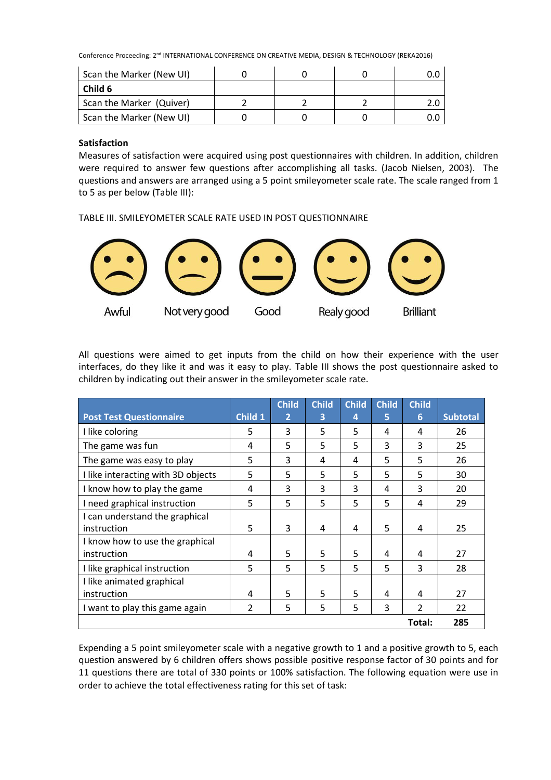| Scan the Marker (New UI) |  |  |
|--------------------------|--|--|
| Child 6                  |  |  |
| Scan the Marker (Quiver) |  |  |
| Scan the Marker (New UI) |  |  |

## **Satisfaction**

Measures of satisfaction were acquired using post questionnaires with children. In addition, children were required to answer few questions after accomplishing all tasks. (Jacob Nielsen, 2003). The questions and answers are arranged using a 5 point smileyometer scale rate. The scale ranged from 1 to 5 as per below (Table III):

TABLE III. SMILEYOMETER SCALE RATE USED IN POST QUESTIONNAIRE



All questions were aimed to get inputs from the child on how their experience with the user interfaces, do they like it and was it easy to play. Table III shows the post questionnaire asked to children by indicating out their answer in the smileyometer scale rate.

|                                    |         | <b>Child</b>   | <b>Child</b> | <b>Child</b> | <b>Child</b> | <b>Child</b>  |                 |
|------------------------------------|---------|----------------|--------------|--------------|--------------|---------------|-----------------|
| <b>Post Test Questionnaire</b>     | Child 1 | $\overline{2}$ | 3            | 4            | 5            | 6             | <b>Subtotal</b> |
| I like coloring                    | 5       | 3              | 5            | 5            | 4            | 4             | 26              |
| The game was fun                   | 4       | 5              | 5            | 5            | 3            | 3             | 25              |
| The game was easy to play          | 5.      | 3              | 4            | 4            | 5            | 5             | 26              |
| I like interacting with 3D objects | 5       | 5              | 5            | 5            | 5            | 5             | 30              |
| I know how to play the game        | 4       | 3              | 3            | 3            | 4            | 3             | 20              |
| I need graphical instruction       | 5       | 5              | 5            | 5            | 5            | 4             | 29              |
| I can understand the graphical     |         |                |              |              |              |               |                 |
| instruction                        | 5       | 3              | 4            | 4            | 5            | 4             | 25              |
| I know how to use the graphical    |         |                |              |              |              |               |                 |
| instruction                        | 4       | 5              | 5            | 5            | 4            | 4             | 27              |
| I like graphical instruction       | 5       | 5              | 5            | 5            | 5            | 3             | 28              |
| I like animated graphical          |         |                |              |              |              |               |                 |
| instruction                        | 4       | 5              | 5            | 5            | 4            | 4             | 27              |
| I want to play this game again     | 2       | 5              | 5            | 5            | 3            | $\mathcal{P}$ | 22              |
|                                    |         |                |              |              |              | Total:        | 285             |

Expending a 5 point smileyometer scale with a negative growth to 1 and a positive growth to 5, each question answered by 6 children offers shows possible positive response factor of 30 points and for 11 questions there are total of 330 points or 100% satisfaction. The following equation were use in order to achieve the total effectiveness rating for this set of task: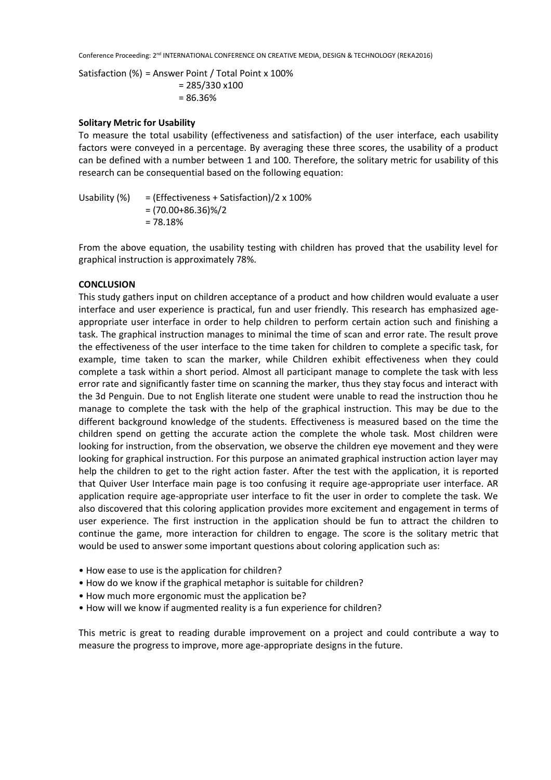Satisfaction (%) = Answer Point / Total Point x 100% = 285/330 x100

= 86.36%

## **Solitary Metric for Usability**

To measure the total usability (effectiveness and satisfaction) of the user interface, each usability factors were conveyed in a percentage. By averaging these three scores, the usability of a product can be defined with a number between 1 and 100. Therefore, the solitary metric for usability of this research can be consequential based on the following equation:

Usability  $(\%)$  = (Effectiveness + Satisfaction)/2 x 100%  $=(70.00+86.36)\%/2$ = 78.18%

From the above equation, the usability testing with children has proved that the usability level for graphical instruction is approximately 78%.

## **CONCLUSION**

This study gathers input on children acceptance of a product and how children would evaluate a user interface and user experience is practical, fun and user friendly. This research has emphasized ageappropriate user interface in order to help children to perform certain action such and finishing a task. The graphical instruction manages to minimal the time of scan and error rate. The result prove the effectiveness of the user interface to the time taken for children to complete a specific task, for example, time taken to scan the marker, while Children exhibit effectiveness when they could complete a task within a short period. Almost all participant manage to complete the task with less error rate and significantly faster time on scanning the marker, thus they stay focus and interact with the 3d Penguin. Due to not English literate one student were unable to read the instruction thou he manage to complete the task with the help of the graphical instruction. This may be due to the different background knowledge of the students. Effectiveness is measured based on the time the children spend on getting the accurate action the complete the whole task. Most children were looking for instruction, from the observation, we observe the children eye movement and they were looking for graphical instruction. For this purpose an animated graphical instruction action layer may help the children to get to the right action faster. After the test with the application, it is reported that Quiver User Interface main page is too confusing it require age-appropriate user interface. AR application require age-appropriate user interface to fit the user in order to complete the task. We also discovered that this coloring application provides more excitement and engagement in terms of user experience. The first instruction in the application should be fun to attract the children to continue the game, more interaction for children to engage. The score is the solitary metric that would be used to answer some important questions about coloring application such as:

- How ease to use is the application for children?
- How do we know if the graphical metaphor is suitable for children?
- How much more ergonomic must the application be?
- How will we know if augmented reality is a fun experience for children?

This metric is great to reading durable improvement on a project and could contribute a way to measure the progress to improve, more age-appropriate designs in the future.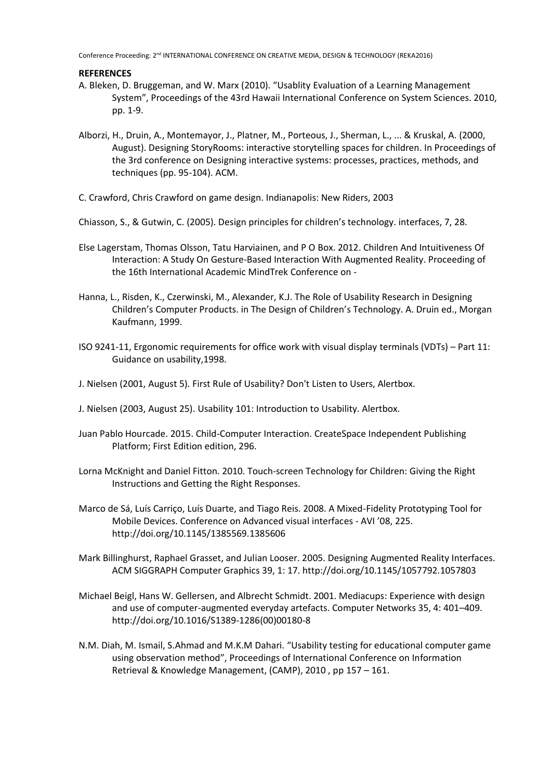## **REFERENCES**

- A. Bleken, D. Bruggeman, and W. Marx (2010). "Usablity Evaluation of a Learning Management System", Proceedings of the 43rd Hawaii International Conference on System Sciences. 2010, pp. 1-9.
- Alborzi, H., Druin, A., Montemayor, J., Platner, M., Porteous, J., Sherman, L., ... & Kruskal, A. (2000, August). Designing StoryRooms: interactive storytelling spaces for children. In Proceedings of the 3rd conference on Designing interactive systems: processes, practices, methods, and techniques (pp. 95-104). ACM.
- C. Crawford, Chris Crawford on game design. Indianapolis: New Riders, 2003

Chiasson, S., & Gutwin, C. (2005). Design principles for children's technology. interfaces, 7, 28.

- Else Lagerstam, Thomas Olsson, Tatu Harviainen, and P O Box. 2012. Children And Intuitiveness Of Interaction: A Study On Gesture-Based Interaction With Augmented Reality. Proceeding of the 16th International Academic MindTrek Conference on -
- Hanna, L., Risden, K., Czerwinski, M., Alexander, K.J. The Role of Usability Research in Designing Children's Computer Products. in The Design of Children's Technology. A. Druin ed., Morgan Kaufmann, 1999.
- ISO 9241-11, Ergonomic requirements for office work with visual display terminals (VDTs) Part 11: Guidance on usability,1998.
- J. Nielsen (2001, August 5). First Rule of Usability? Don't Listen to Users, Alertbox.
- J. Nielsen (2003, August 25). Usability 101: Introduction to Usability. Alertbox.
- Juan Pablo Hourcade. 2015. Child-Computer Interaction. CreateSpace Independent Publishing Platform; First Edition edition, 296.
- Lorna McKnight and Daniel Fitton. 2010. Touch-screen Technology for Children: Giving the Right Instructions and Getting the Right Responses.
- Marco de Sá, Luís Carriço, Luís Duarte, and Tiago Reis. 2008. A Mixed-Fidelity Prototyping Tool for Mobile Devices. Conference on Advanced visual interfaces - AVI '08, 225. http://doi.org/10.1145/1385569.1385606
- Mark Billinghurst, Raphael Grasset, and Julian Looser. 2005. Designing Augmented Reality Interfaces. ACM SIGGRAPH Computer Graphics 39, 1: 17. http://doi.org/10.1145/1057792.1057803
- Michael Beigl, Hans W. Gellersen, and Albrecht Schmidt. 2001. Mediacups: Experience with design and use of computer-augmented everyday artefacts. Computer Networks 35, 4: 401–409. http://doi.org/10.1016/S1389-1286(00)00180-8
- N.M. Diah, M. Ismail, S.Ahmad and M.K.M Dahari. "Usability testing for educational computer game using observation method", Proceedings of International Conference on Information Retrieval & Knowledge Management, (CAMP), 2010 , pp 157 – 161.